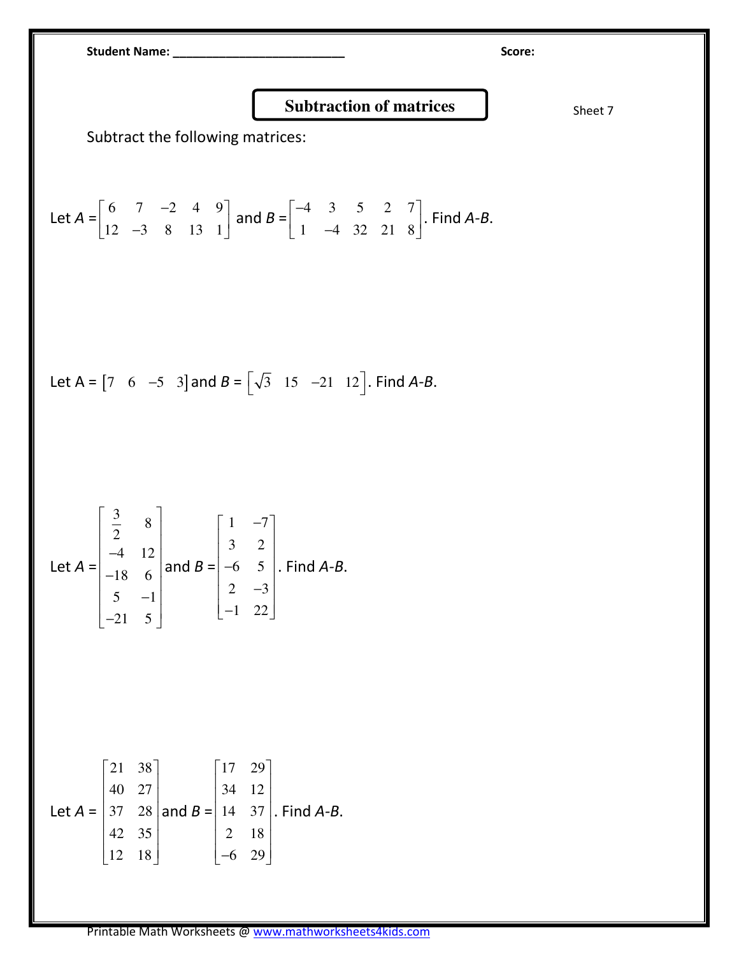